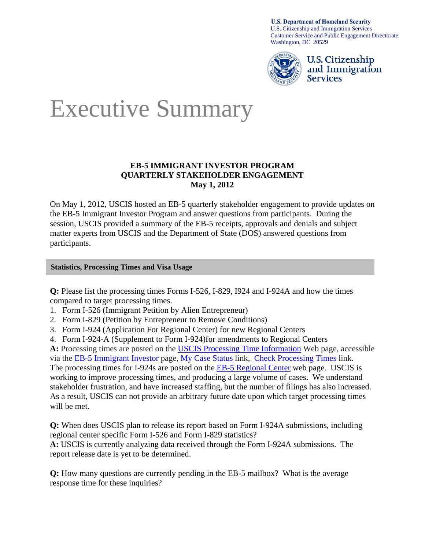**U.S. Department of Homeland Security** U.S. Citizenship and Immigration Services Customer Service and Public Engagement Directorate Washington, DC 20529



U.S. Citizenship and Immigration **Services** 

# Executive Summary

# **EB-5 IMMIGRANT INVESTOR PROGRAM QUARTERLY STAKEHOLDER ENGAGEMENT May 1, 2012**

On May 1, 2012, USCIS hosted an EB-5 quarterly stakeholder engagement to provide updates on the EB-5 Immigrant Investor Program and answer questions from participants. During the session, USCIS provided a summary of the EB-5 receipts, approvals and denials and subject matter experts from USCIS and the Department of State (DOS) answered questions from participants.

# **Statistics, Processing Times and Visa Usage**

**Q:** Please list the processing times Forms I-526, I-829, I924 and I-924A and how the times compared to target processing times.

- 1. Form I-526 (Immigrant Petition by Alien Entrepreneur)
- 2. Form I-829 (Petition by Entrepreneur to Remove Conditions)
- 3. Form I-924 (Application For Regional Center) for new Regional Centers
- 4. Form I-924-A (Supplement to Form I-924)for amendments to Regional Centers

**A:** Processing times are posted on the [USCIS Processing Time Information](https://egov.uscis.gov/cris/processTimesDisplayInit.do) Web page, accessible via the [EB-5 Immigrant Investor](http://www.uscis.gov/portal/site/uscis/menuitem.eb1d4c2a3e5b9ac89243c6a7543f6d1a/?vgnextoid=facb83453d4a3210VgnVCM100000b92ca60aRCRD&vgnextchannel=facb83453d4a3210VgnVCM100000b92ca60aRCRD) page, [My Case Status](https://egov.uscis.gov/cris/Dashboard.do) link, [Check Processing Times](https://egov.uscis.gov/cris/processTimesDisplayInit.do) link. The processing times for I-924s are posted on the [EB-5 Regional Center](http://www.uscis.gov/portal/site/uscis/menuitem.eb1d4c2a3e5b9ac89243c6a7543f6d1a/?vgnextoid=2785a5f224a2e210VgnVCM100000082ca60aRCRD&vgnextchannel=2785a5f224a2e210VgnVCM100000082ca60aRCRD) web page. USCIS is working to improve processing times, and producing a large volume of cases. We understand stakeholder frustration, and have increased staffing, but the number of filings has also increased. As a result, USCIS can not provide an arbitrary future date upon which target processing times will be met.

**Q:** When does USCIS plan to release its report based on Form I-924A submissions, including regional center specific Form I-526 and Form I-829 statistics?

**A:** USCIS is currently analyzing data received through the Form I-924A submissions. The report release date is yet to be determined.

**Q:** How many questions are currently pending in the EB-5 mailbox? What is the average response time for these inquiries?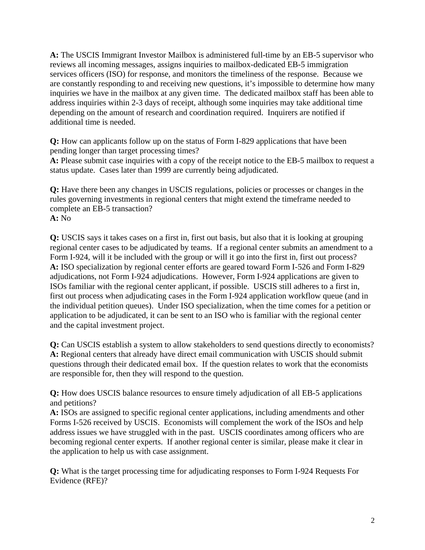**A:** The USCIS Immigrant Investor Mailbox is administered full-time by an EB-5 supervisor who reviews all incoming messages, assigns inquiries to mailbox-dedicated EB-5 immigration services officers (ISO) for response, and monitors the timeliness of the response. Because we are constantly responding to and receiving new questions, it's impossible to determine how many inquiries we have in the mailbox at any given time. The dedicated mailbox staff has been able to address inquiries within 2-3 days of receipt, although some inquiries may take additional time depending on the amount of research and coordination required. Inquirers are notified if additional time is needed.

**Q:** How can applicants follow up on the status of Form I-829 applications that have been pending longer than target processing times?

**A:** Please submit case inquiries with a copy of the receipt notice to the EB-5 mailbox to request a status update. Cases later than 1999 are currently being adjudicated.

**Q:** Have there been any changes in USCIS regulations, policies or processes or changes in the rules governing investments in regional centers that might extend the timeframe needed to complete an EB-5 transaction? **A:** No

**Q:** USCIS says it takes cases on a first in, first out basis, but also that it is looking at grouping regional center cases to be adjudicated by teams. If a regional center submits an amendment to a Form I-924, will it be included with the group or will it go into the first in, first out process? **A:** ISO specialization by regional center efforts are geared toward Form I-526 and Form I-829 adjudications, not Form I-924 adjudications. However, Form I-924 applications are given to ISOs familiar with the regional center applicant, if possible. USCIS still adheres to a first in, first out process when adjudicating cases in the Form I-924 application workflow queue (and in the individual petition queues). Under ISO specialization, when the time comes for a petition or application to be adjudicated, it can be sent to an ISO who is familiar with the regional center and the capital investment project.

**Q:** Can USCIS establish a system to allow stakeholders to send questions directly to economists? **A:** Regional centers that already have direct email communication with USCIS should submit questions through their dedicated email box. If the question relates to work that the economists are responsible for, then they will respond to the question.

**Q:** How does USCIS balance resources to ensure timely adjudication of all EB-5 applications and petitions?

**A:** ISOs are assigned to specific regional center applications, including amendments and other Forms I-526 received by USCIS. Economists will complement the work of the ISOs and help address issues we have struggled with in the past. USCIS coordinates among officers who are becoming regional center experts. If another regional center is similar, please make it clear in the application to help us with case assignment.

**Q:** What is the target processing time for adjudicating responses to Form I-924 Requests For Evidence (RFE)?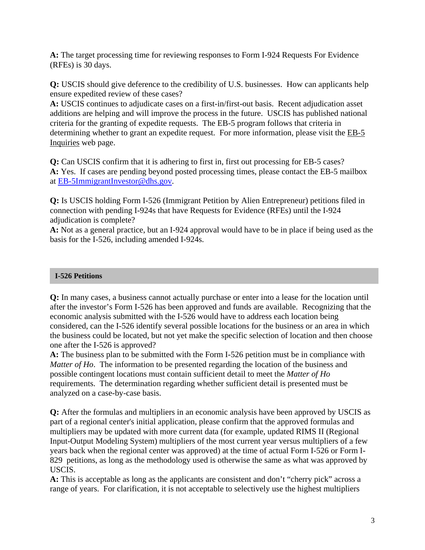**A:** The target processing time for reviewing responses to Form I-924 Requests For Evidence (RFEs) is 30 days.

**Q:** USCIS should give deference to the credibility of U.S. businesses. How can applicants help ensure expedited review of these cases?

**A:** USCIS continues to adjudicate cases on a first-in/first-out basis. Recent adjudication asset additions are helping and will improve the process in the future. USCIS has published national criteria for the granting of expedite requests. The EB-5 program follows that criteria in determining whether to grant an expedite request. For more information, please visit the [EB-5](http://www.uscis.gov/portal/site/uscis/menuitem.5af9bb95919f35e66f614176543f6d1a/?vgnextoid=fb48c55d20829210VgnVCM100000082ca60aRCRD&vgnextchannel=facb83453d4a3210VgnVCM100000b92ca60aRCRD)  [Inquiries](http://www.uscis.gov/portal/site/uscis/menuitem.5af9bb95919f35e66f614176543f6d1a/?vgnextoid=fb48c55d20829210VgnVCM100000082ca60aRCRD&vgnextchannel=facb83453d4a3210VgnVCM100000b92ca60aRCRD) web page.

**Q:** Can USCIS confirm that it is adhering to first in, first out processing for EB-5 cases? **A:** Yes. If cases are pending beyond posted processing times, please contact the EB-5 mailbox at [EB-5ImmigrantInvestor@dhs.gov.](mailto:EB-5ImmigrantInvestor@dhs.gov)

**Q:** Is USCIS holding Form I-526 (Immigrant Petition by Alien Entrepreneur) petitions filed in connection with pending I-924s that have Requests for Evidence (RFEs) until the I-924 adjudication is complete?

**A:** Not as a general practice, but an I-924 approval would have to be in place if being used as the basis for the I-526, including amended I-924s.

# **I-526 Petitions**

**Q:** In many cases, a business cannot actually purchase or enter into a lease for the location until after the investor's Form I-526 has been approved and funds are available. Recognizing that the economic analysis submitted with the I-526 would have to address each location being considered, can the I-526 identify several possible locations for the business or an area in which the business could be located, but not yet make the specific selection of location and then choose one after the I-526 is approved?

**A:** The business plan to be submitted with the Form I-526 petition must be in compliance with *Matter of Ho*. The information to be presented regarding the location of the business and possible contingent locations must contain sufficient detail to meet the *Matter of Ho* requirements. The determination regarding whether sufficient detail is presented must be analyzed on a case-by-case basis.

**Q:** After the formulas and multipliers in an economic analysis have been approved by USCIS as part of a regional center's initial application, please confirm that the approved formulas and multipliers may be updated with more current data (for example, updated RIMS II (Regional Input-Output Modeling System) multipliers of the most current year versus multipliers of a few years back when the regional center was approved) at the time of actual Form I-526 or Form I-829 petitions, as long as the methodology used is otherwise the same as what was approved by USCIS.

**A:** This is acceptable as long as the applicants are consistent and don't "cherry pick" across a range of years. For clarification, it is not acceptable to selectively use the highest multipliers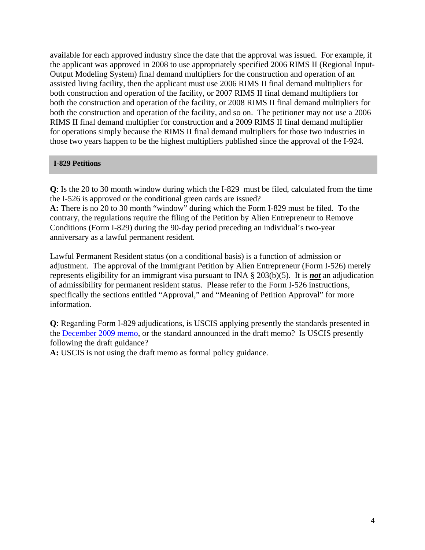available for each approved industry since the date that the approval was issued. For example, if the applicant was approved in 2008 to use appropriately specified 2006 RIMS II (Regional Input-Output Modeling System) final demand multipliers for the construction and operation of an assisted living facility, then the applicant must use 2006 RIMS II final demand multipliers for both construction and operation of the facility, or 2007 RIMS II final demand multipliers for both the construction and operation of the facility, or 2008 RIMS II final demand multipliers for both the construction and operation of the facility, and so on. The petitioner may not use a 2006 RIMS II final demand multiplier for construction and a 2009 RIMS II final demand multiplier for operations simply because the RIMS II final demand multipliers for those two industries in those two years happen to be the highest multipliers published since the approval of the I-924.

# **I-829 Petitions**

**Q**: Is the 20 to 30 month window during which the I-829 must be filed, calculated from the time the I-526 is approved or the conditional green cards are issued?

**A:** There is no 20 to 30 month "window" during which the Form I-829 must be filed. To the contrary, the regulations require the filing of the Petition by Alien Entrepreneur to Remove Conditions (Form I-829) during the 90-day period preceding an individual's two-year anniversary as a lawful permanent resident.

Lawful Permanent Resident status (on a conditional basis) is a function of admission or adjustment. The approval of the Immigrant Petition by Alien Entrepreneur (Form I-526) merely represents eligibility for an immigrant visa pursuant to INA § 203(b)(5). It is *not* an adjudication of admissibility for permanent resident status. Please refer to the Form I-526 instructions, specifically the sections entitled "Approval," and "Meaning of Petition Approval" for more information.

**Q**: Regarding Form I-829 adjudications, is USCIS applying presently the standards presented in the [December 2009 memo,](http://www.uscis.gov/portal/site/uscis/menuitem.eb1d4c2a3e5b9ac89243c6a7543f6d1a/?vgnextchannel=f1f051b4b1af3110VgnVCM1000004718190aRCRD&vgnextoid=f1f051b4b1af3110VgnVCM1000004718190aRCRD) or the standard announced in the draft memo? Is USCIS presently following the draft guidance?

**A:** USCIS is not using the draft memo as formal policy guidance.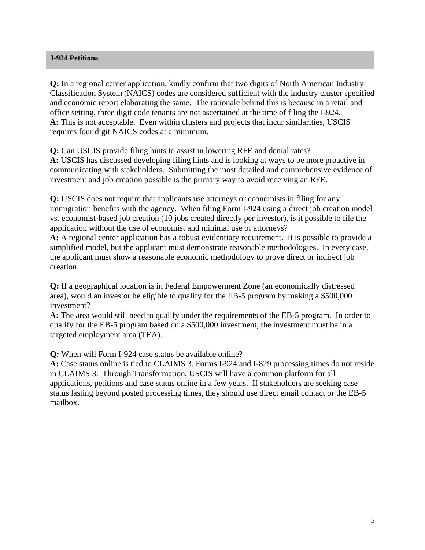# **I-924 Petitions**

**Q:** In a regional center application, kindly confirm that two digits of North American Industry Classification System (NAICS) codes are considered sufficient with the industry cluster specified and economic report elaborating the same. The rationale behind this is because in a retail and office setting, three digit code tenants are not ascertained at the time of filing the I-924. **A:** This is not acceptable. Even within clusters and projects that incur similarities, USCIS requires four digit NAICS codes at a minimum.

**Q:** Can USCIS provide filing hints to assist in lowering RFE and denial rates? **A:** USCIS has discussed developing filing hints and is looking at ways to be more proactive in communicating with stakeholders. Submitting the most detailed and comprehensive evidence of investment and job creation possible is the primary way to avoid receiving an RFE.

**Q:** USCIS does not require that applicants use attorneys or economists in filing for any immigration benefits with the agency. When filing Form I-924 using a direct job creation model vs. economist-based job creation (10 jobs created directly per investor), is it possible to file the application without the use of economist and minimal use of attorneys?

**A:** A regional center application has a robust evidentiary requirement. It is possible to provide a simplified model, but the applicant must demonstrate reasonable methodologies. In every case, the applicant must show a reasonable economic methodology to prove direct or indirect job creation.

**Q:** If a geographical location is in Federal Empowerment Zone (an economically distressed area), would an investor be eligible to qualify for the EB-5 program by making a \$500,000 investment?

**A:** The area would still need to qualify under the requirements of the EB-5 program. In order to qualify for the EB-5 program based on a \$500,000 investment, the investment must be in a targeted employment area (TEA).

**Q:** When will Form I-924 case status be available online?

**A:** Case status online is tied to CLAIMS 3. Forms I-924 and I-829 processing times do not reside in CLAIMS 3. Through Transformation, USCIS will have a common platform for all applications, petitions and case status online in a few years. If stakeholders are seeking case status lasting beyond posted processing times, they should use direct email contact or the EB-5 mailbox.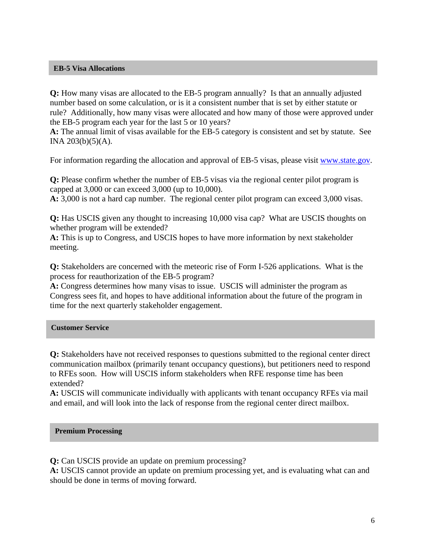## **EB-5 Visa Allocations**

**Q:** How many visas are allocated to the EB-5 program annually? Is that an annually adjusted number based on some calculation, or is it a consistent number that is set by either statute or rule? Additionally, how many visas were allocated and how many of those were approved under the EB-5 program each year for the last 5 or 10 years?

**A:** The annual limit of visas available for the EB-5 category is consistent and set by statute. See INA  $203(b)(5)(A)$ .

For information regarding the allocation and approval of EB-5 visas, please visit [www.state.gov.](http://www.state.gov/)

**Q:** Please confirm whether the number of EB-5 visas via the regional center pilot program is capped at 3,000 or can exceed 3,000 (up to 10,000).

**A:** 3,000 is not a hard cap number. The regional center pilot program can exceed 3,000 visas.

**Q:** Has USCIS given any thought to increasing 10,000 visa cap? What are USCIS thoughts on whether program will be extended?

**A:** This is up to Congress, and USCIS hopes to have more information by next stakeholder meeting.

**Q:** Stakeholders are concerned with the meteoric rise of Form I-526 applications. What is the process for reauthorization of the EB-5 program?

**A:** Congress determines how many visas to issue. USCIS will administer the program as Congress sees fit, and hopes to have additional information about the future of the program in time for the next quarterly stakeholder engagement.

#### **Customer Service**

**Q:** Stakeholders have not received responses to questions submitted to the regional center direct communication mailbox (primarily tenant occupancy questions), but petitioners need to respond to RFEs soon. How will USCIS inform stakeholders when RFE response time has been extended?

**A:** USCIS will communicate individually with applicants with tenant occupancy RFEs via mail and email, and will look into the lack of response from the regional center direct mailbox.

#### **Premium Processing**

**Q:** Can USCIS provide an update on premium processing?

**A:** USCIS cannot provide an update on premium processing yet, and is evaluating what can and should be done in terms of moving forward.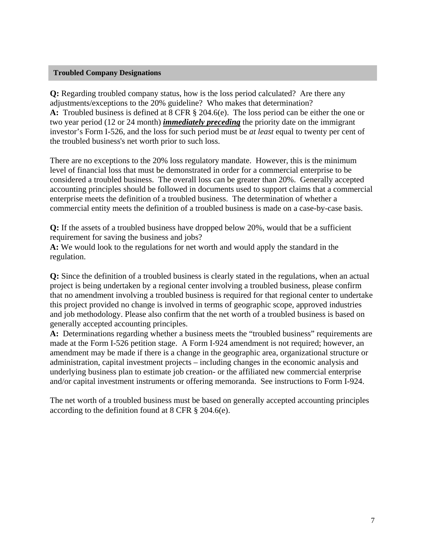## **Troubled Company Designations**

**Q:** Regarding troubled company status, how is the loss period calculated? Are there any adjustments/exceptions to the 20% guideline? Who makes that determination? **A:** Troubled business is defined at 8 CFR § 204.6(e). The loss period can be either the one or two year period (12 or 24 month) *immediately preceding* the priority date on the immigrant investor's Form I-526, and the loss for such period must be *at least* equal to twenty per cent of the troubled business's net worth prior to such loss.

There are no exceptions to the 20% loss regulatory mandate. However, this is the minimum level of financial loss that must be demonstrated in order for a commercial enterprise to be considered a troubled business. The overall loss can be greater than 20%. Generally accepted accounting principles should be followed in documents used to support claims that a commercial enterprise meets the definition of a troubled business. The determination of whether a commercial entity meets the definition of a troubled business is made on a case-by-case basis.

**Q:** If the assets of a troubled business have dropped below 20%, would that be a sufficient requirement for saving the business and jobs?

**A:** We would look to the regulations for net worth and would apply the standard in the regulation.

**Q:** Since the definition of a troubled business is clearly stated in the regulations, when an actual project is being undertaken by a regional center involving a troubled business, please confirm that no amendment involving a troubled business is required for that regional center to undertake this project provided no change is involved in terms of geographic scope, approved industries and job methodology. Please also confirm that the net worth of a troubled business is based on generally accepted accounting principles.

**A:** Determinations regarding whether a business meets the "troubled business" requirements are made at the Form I-526 petition stage. A Form I-924 amendment is not required; however, an amendment may be made if there is a change in the geographic area, organizational structure or administration, capital investment projects – including changes in the economic analysis and underlying business plan to estimate job creation- or the affiliated new commercial enterprise and/or capital investment instruments or offering memoranda. See instructions to Form I-924.

The net worth of a troubled business must be based on generally accepted accounting principles according to the definition found at 8 CFR § 204.6(e).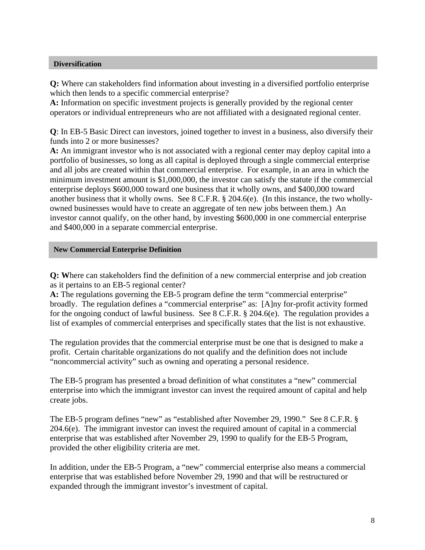## **Diversification**

**Q:** Where can stakeholders find information about investing in a diversified portfolio enterprise which then lends to a specific commercial enterprise?

**A:** Information on specific investment projects is generally provided by the regional center operators or individual entrepreneurs who are not affiliated with a designated regional center.

**Q**: In EB-5 Basic Direct can investors, joined together to invest in a business, also diversify their funds into 2 or more businesses?

**A:** An immigrant investor who is not associated with a regional center may deploy capital into a portfolio of businesses, so long as all capital is deployed through a single commercial enterprise and all jobs are created within that commercial enterprise. For example, in an area in which the minimum investment amount is \$1,000,000, the investor can satisfy the statute if the commercial enterprise deploys \$600,000 toward one business that it wholly owns, and \$400,000 toward another business that it wholly owns. See 8 C.F.R. § 204.6(e). (In this instance, the two whollyowned businesses would have to create an aggregate of ten new jobs between them.) An investor cannot qualify, on the other hand, by investing \$600,000 in one commercial enterprise and \$400,000 in a separate commercial enterprise.

## **New Commercial Enterprise Definition**

**Q: W**here can stakeholders find the definition of a new commercial enterprise and job creation as it pertains to an EB-5 regional center?

**A:** The regulations governing the EB-5 program define the term "commercial enterprise" broadly. The regulation defines a "commercial enterprise" as: [A]ny for-profit activity formed for the ongoing conduct of lawful business. See 8 C.F.R. § 204.6(e). The regulation provides a list of examples of commercial enterprises and specifically states that the list is not exhaustive.

The regulation provides that the commercial enterprise must be one that is designed to make a profit. Certain charitable organizations do not qualify and the definition does not include "noncommercial activity" such as owning and operating a personal residence.

The EB-5 program has presented a broad definition of what constitutes a "new" commercial enterprise into which the immigrant investor can invest the required amount of capital and help create jobs.

The EB-5 program defines "new" as "established after November 29, 1990." See 8 C.F.R. § 204.6(e). The immigrant investor can invest the required amount of capital in a commercial enterprise that was established after November 29, 1990 to qualify for the EB-5 Program, provided the other eligibility criteria are met.

In addition, under the EB-5 Program, a "new" commercial enterprise also means a commercial enterprise that was established before November 29, 1990 and that will be restructured or expanded through the immigrant investor's investment of capital.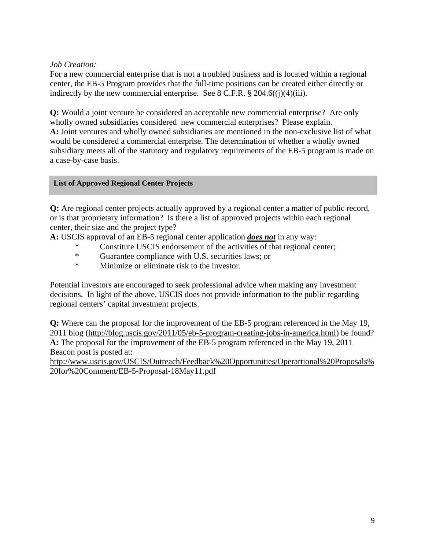# *Job Creation:*

For a new commercial enterprise that is not a troubled business and is located within a regional center, the EB-5 Program provides that the full-time positions can be created either directly or indirectly by the new commercial enterprise. See  $8$  C.F.R.  $\S 204.6$  $((i)(4)(iii)$ .

**Q:** Would a joint venture be considered an acceptable new commercial enterprise? Are only wholly owned subsidiaries considered new commercial enterprises? Please explain. **A:** Joint ventures and wholly owned subsidiaries are mentioned in the non-exclusive list of what would be considered a commercial enterprise. The determination of whether a wholly owned subsidiary meets all of the statutory and regulatory requirements of the EB-5 program is made on a case-by-case basis.

# **List of Approved Regional Center Projects**

**Q:** Are regional center projects actually approved by a regional center a matter of public record, or is that proprietary information? Is there a list of approved projects within each regional center, their size and the project type?

**A:** USCIS approval of an EB-5 regional center application *does not* in any way:

- \* Constitute USCIS endorsement of the activities of that regional center;
- \* Guarantee compliance with U.S. securities laws; or<br>Ninimize or eliminate risk to the investor
- Minimize or eliminate risk to the investor.

Potential investors are encouraged to seek professional advice when making any investment decisions. In light of the above, USCIS does not provide information to the public regarding regional centers' capital investment projects.

**Q:** Where can the proposal for the improvement of the EB-5 program referenced in the May 19, 2011 blog [\(http://blog.uscis.gov/2011/05/eb-5-program-creating-jobs-in-america.html](http://blog.uscis.gov/2011/05/eb-5-program-creating-jobs-in-america.html)) be found? **A:** The proposal for the improvement of the EB-5 program referenced in the May 19, 2011 Beacon post is posted at:

[http://www.uscis.gov/USCIS/Outreach/Feedback%20Opportunities/Operartional%20Proposals%](http://www.uscis.gov/USCIS/Outreach/Feedback%20Opportunities/Operartional%20Proposals%20for%20Comment/EB-5-Proposal-18May11.pdf) [20for%20Comment/EB-5-Proposal-18May11.pdf](http://www.uscis.gov/USCIS/Outreach/Feedback%20Opportunities/Operartional%20Proposals%20for%20Comment/EB-5-Proposal-18May11.pdf)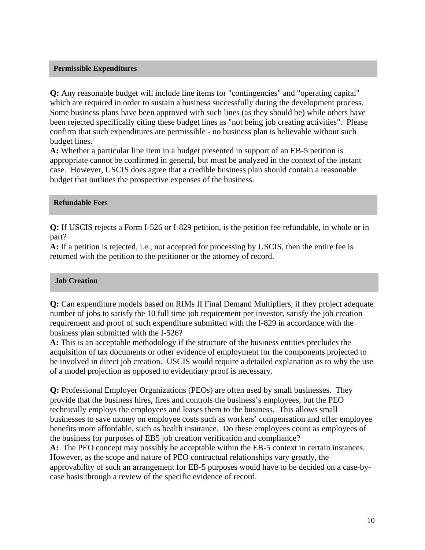## **Permissible Expenditures**

**Q:** Any reasonable budget will include line items for "contingencies" and "operating capital" which are required in order to sustain a business successfully during the development process. Some business plans have been approved with such lines (as they should be) while others have been rejected specifically citing these budget lines as "not being job creating activities". Please confirm that such expenditures are permissible - no business plan is believable without such budget lines.

**A:** Whether a particular line item in a budget presented in support of an EB-5 petition is appropriate cannot be confirmed in general, but must be analyzed in the context of the instant case. However, USCIS does agree that a credible business plan should contain a reasonable budget that outlines the prospective expenses of the business.

## **Refundable Fees**

**Q:** If USCIS rejects a Form I-526 or I-829 petition, is the petition fee refundable, in whole or in part?

**A:** If a petition is rejected, i.e., not accepted for processing by USCIS, then the entire fee is returned with the petition to the petitioner or the attorney of record.

#### **Job Creation**

**Q:** Can expenditure models based on RIMs II Final Demand Multipliers, if they project adequate number of jobs to satisfy the 10 full time job requirement per investor, satisfy the job creation requirement and proof of such expenditure submitted with the I-829 in accordance with the business plan submitted with the I-526?

**A:** This is an acceptable methodology if the structure of the business entities precludes the acquisition of tax documents or other evidence of employment for the components projected to be involved in direct job creation. USCIS would require a detailed explanation as to why the use of a model projection as opposed to evidentiary proof is necessary.

**Q:** Professional Employer Organizations (PEOs) are often used by small businesses. They provide that the business hires, fires and controls the business's employees, but the PEO technically employs the employees and leases them to the business. This allows small businesses to save money on employee costs such as workers' compensation and offer employee benefits more affordable, such as health insurance. Do these employees count as employees of the business for purposes of EB5 job creation verification and compliance?

**A:** The PEO concept may possibly be acceptable within the EB-5 context in certain instances. However, as the scope and nature of PEO contractual relationships vary greatly, the approvability of such an arrangement for EB-5 purposes would have to be decided on a case-bycase basis through a review of the specific evidence of record.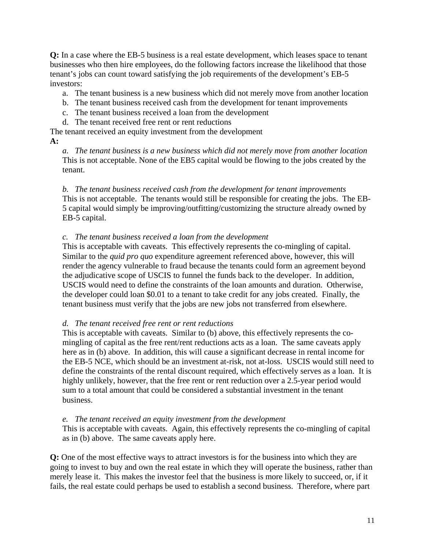**Q:** In a case where the EB-5 business is a real estate development, which leases space to tenant businesses who then hire employees, do the following factors increase the likelihood that those tenant's jobs can count toward satisfying the job requirements of the development's EB-5 investors:

a. The tenant business is a new business which did not merely move from another location

- b. The tenant business received cash from the development for tenant improvements
- c. The tenant business received a loan from the development
- d. The tenant received free rent or rent reductions

The tenant received an equity investment from the development

# **A:**

*a. The tenant business is a new business which did not merely move from another location*  This is not acceptable. None of the EB5 capital would be flowing to the jobs created by the tenant.

*b. The tenant business received cash from the development for tenant improvements*  This is not acceptable. The tenants would still be responsible for creating the jobs. The EB-5 capital would simply be improving/outfitting/customizing the structure already owned by EB-5 capital.

# *c. The tenant business received a loan from the development*

This is acceptable with caveats. This effectively represents the co-mingling of capital. Similar to the *quid pro quo* expenditure agreement referenced above, however, this will render the agency vulnerable to fraud because the tenants could form an agreement beyond the adjudicative scope of USCIS to funnel the funds back to the developer. In addition, USCIS would need to define the constraints of the loan amounts and duration. Otherwise, the developer could loan \$0.01 to a tenant to take credit for any jobs created. Finally, the tenant business must verify that the jobs are new jobs not transferred from elsewhere.

# *d. The tenant received free rent or rent reductions*

This is acceptable with caveats. Similar to (b) above, this effectively represents the comingling of capital as the free rent/rent reductions acts as a loan. The same caveats apply here as in (b) above. In addition, this will cause a significant decrease in rental income for the EB-5 NCE, which should be an investment at-risk, not at-loss. USCIS would still need to define the constraints of the rental discount required, which effectively serves as a loan. It is highly unlikely, however, that the free rent or rent reduction over a 2.5-year period would sum to a total amount that could be considered a substantial investment in the tenant business.

# *e. The tenant received an equity investment from the development*

This is acceptable with caveats. Again, this effectively represents the co-mingling of capital as in (b) above. The same caveats apply here.

**Q:** One of the most effective ways to attract investors is for the business into which they are going to invest to buy and own the real estate in which they will operate the business, rather than merely lease it. This makes the investor feel that the business is more likely to succeed, or, if it fails, the real estate could perhaps be used to establish a second business. Therefore, where part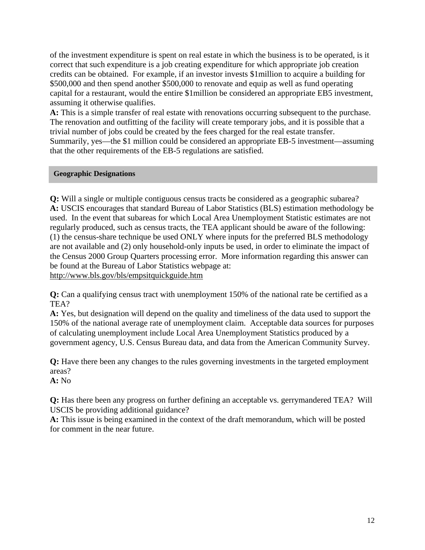of the investment expenditure is spent on real estate in which the business is to be operated, is it correct that such expenditure is a job creating expenditure for which appropriate job creation credits can be obtained. For example, if an investor invests \$1million to acquire a building for \$500,000 and then spend another \$500,000 to renovate and equip as well as fund operating capital for a restaurant, would the entire \$1million be considered an appropriate EB5 investment, assuming it otherwise qualifies.

**A:** This is a simple transfer of real estate with renovations occurring subsequent to the purchase. The renovation and outfitting of the facility will create temporary jobs, and it is possible that a trivial number of jobs could be created by the fees charged for the real estate transfer. Summarily, yes—the \$1 million could be considered an appropriate EB-5 investment—assuming that the other requirements of the EB-5 regulations are satisfied.

## **Geographic Designations**

**Q:** Will a single or multiple contiguous census tracts be considered as a geographic subarea? **A:** USCIS encourages that standard Bureau of Labor Statistics (BLS) estimation methodology be used. In the event that subareas for which Local Area Unemployment Statistic estimates are not regularly produced, such as census tracts, the TEA applicant should be aware of the following: (1) the census-share technique be used ONLY where inputs for the preferred BLS methodology are not available and (2) only household-only inputs be used, in order to eliminate the impact of the Census 2000 Group Quarters processing error. More information regarding this answer can be found at the Bureau of Labor Statistics webpage at: <http://www.bls.gov/bls/empsitquickguide.htm>

**Q:** Can a qualifying census tract with unemployment 150% of the national rate be certified as a TEA?

**A:** Yes, but designation will depend on the quality and timeliness of the data used to support the 150% of the national average rate of unemployment claim. Acceptable data sources for purposes of calculating unemployment include Local Area Unemployment Statistics produced by a government agency, U.S. Census Bureau data, and data from the American Community Survey.

**Q:** Have there been any changes to the rules governing investments in the targeted employment areas?

**A:** No

**Q:** Has there been any progress on further defining an acceptable vs. gerrymandered TEA? Will USCIS be providing additional guidance?

**A:** This issue is being examined in the context of the draft memorandum, which will be posted for comment in the near future.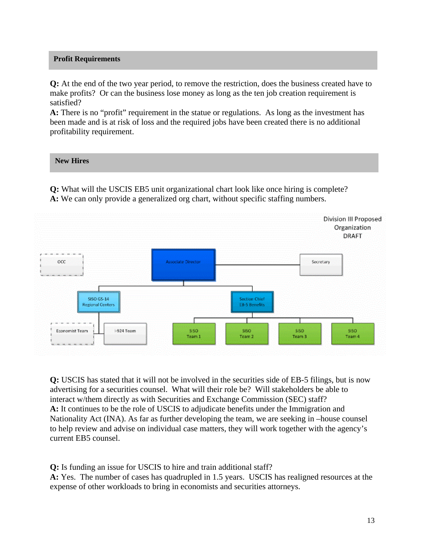## **Profit Requirements**

**Q:** At the end of the two year period, to remove the restriction, does the business created have to make profits? Or can the business lose money as long as the ten job creation requirement is satisfied?

**A:** There is no "profit" requirement in the statue or regulations. As long as the investment has been made and is at risk of loss and the required jobs have been created there is no additional profitability requirement.

# **New Hires**

**Q:** What will the USCIS EB5 unit organizational chart look like once hiring is complete? **A:** We can only provide a generalized org chart, without specific staffing numbers.



**Q:** USCIS has stated that it will not be involved in the securities side of EB-5 filings, but is now advertising for a securities counsel. What will their role be? Will stakeholders be able to interact w/them directly as with Securities and Exchange Commission (SEC) staff? **A:** It continues to be the role of USCIS to adjudicate benefits under the Immigration and Nationality Act (INA). As far as further developing the team, we are seeking in –house counsel to help review and advise on individual case matters, they will work together with the agency's current EB5 counsel.

**Q:** Is funding an issue for USCIS to hire and train additional staff?

**A:** Yes. The number of cases has quadrupled in 1.5 years. USCIS has realigned resources at the expense of other workloads to bring in economists and securities attorneys.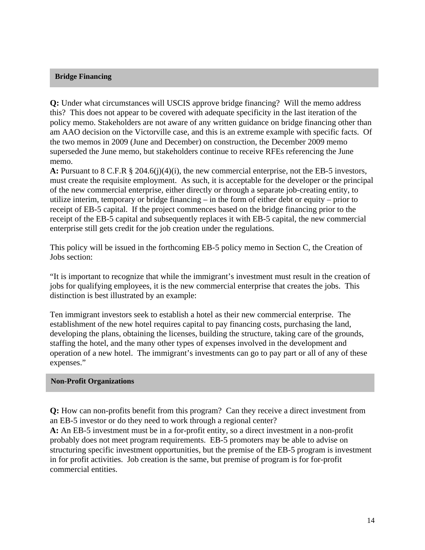## **Bridge Financing**

**Q:** Under what circumstances will USCIS approve bridge financing? Will the memo address this? This does not appear to be covered with adequate specificity in the last iteration of the policy memo. Stakeholders are not aware of any written guidance on bridge financing other than am AAO decision on the Victorville case, and this is an extreme example with specific facts. Of the two memos in 2009 (June and December) on construction, the December 2009 memo superseded the June memo, but stakeholders continue to receive RFEs referencing the June memo.

**A:** Pursuant to 8 C.F.R § 204.6(j)(4)(i), the new commercial enterprise, not the EB-5 investors, must create the requisite employment. As such, it is acceptable for the developer or the principal of the new commercial enterprise, either directly or through a separate job-creating entity, to utilize interim, temporary or bridge financing – in the form of either debt or equity – prior to receipt of EB-5 capital. If the project commences based on the bridge financing prior to the receipt of the EB-5 capital and subsequently replaces it with EB-5 capital, the new commercial enterprise still gets credit for the job creation under the regulations.

This policy will be issued in the forthcoming EB-5 policy memo in Section C, the Creation of Jobs section:

"It is important to recognize that while the immigrant's investment must result in the creation of jobs for qualifying employees, it is the new commercial enterprise that creates the jobs. This distinction is best illustrated by an example:

Ten immigrant investors seek to establish a hotel as their new commercial enterprise. The establishment of the new hotel requires capital to pay financing costs, purchasing the land, developing the plans, obtaining the licenses, building the structure, taking care of the grounds, staffing the hotel, and the many other types of expenses involved in the development and operation of a new hotel. The immigrant's investments can go to pay part or all of any of these expenses."

#### **Non-Profit Organizations**

**Q:** How can non-profits benefit from this program? Can they receive a direct investment from an EB-5 investor or do they need to work through a regional center?

**A:** An EB-5 investment must be in a for-profit entity, so a direct investment in a non-profit probably does not meet program requirements. EB-5 promoters may be able to advise on structuring specific investment opportunities, but the premise of the EB-5 program is investment in for profit activities. Job creation is the same, but premise of program is for for-profit commercial entities.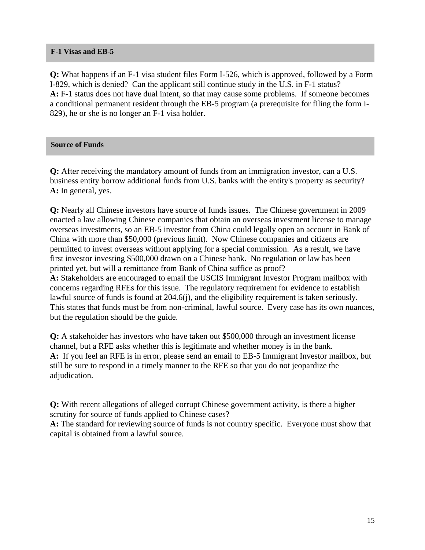## **F-1 Visas and EB-5**

**Q:** What happens if an F-1 visa student files Form I-526, which is approved, followed by a Form I-829, which is denied? Can the applicant still continue study in the U.S. in F-1 status? **A:** F-1 status does not have dual intent, so that may cause some problems. If someone becomes a conditional permanent resident through the EB-5 program (a prerequisite for filing the form I-829), he or she is no longer an F-1 visa holder.

# **Source of Funds**

**Q:** After receiving the mandatory amount of funds from an immigration investor, can a U.S. business entity borrow additional funds from U.S. banks with the entity's property as security? **A:** In general, yes.

**Q:** Nearly all Chinese investors have source of funds issues. The Chinese government in 2009 enacted a law allowing Chinese companies that obtain an overseas investment license to manage overseas investments, so an EB-5 investor from China could legally open an account in Bank of China with more than \$50,000 (previous limit). Now Chinese companies and citizens are permitted to invest overseas without applying for a special commission. As a result, we have first investor investing \$500,000 drawn on a Chinese bank. No regulation or law has been printed yet, but will a remittance from Bank of China suffice as proof? **A:** Stakeholders are encouraged to email the USCIS Immigrant Investor Program mailbox with concerns regarding RFEs for this issue. The regulatory requirement for evidence to establish lawful source of funds is found at 204.6(j), and the eligibility requirement is taken seriously. This states that funds must be from non-criminal, lawful source. Every case has its own nuances, but the regulation should be the guide.

**Q:** A stakeholder has investors who have taken out \$500,000 through an investment license channel, but a RFE asks whether this is legitimate and whether money is in the bank. **A:** If you feel an RFE is in error, please send an email to EB-5 Immigrant Investor mailbox, but still be sure to respond in a timely manner to the RFE so that you do not jeopardize the adjudication.

**Q:** With recent allegations of alleged corrupt Chinese government activity, is there a higher scrutiny for source of funds applied to Chinese cases?

A: The standard for reviewing source of funds is not country specific. Everyone must show that capital is obtained from a lawful source.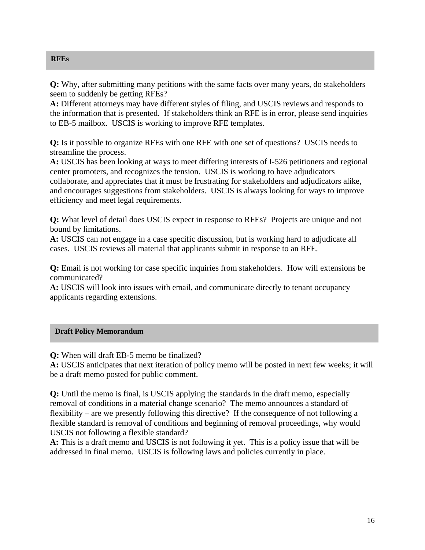**RFEs** 

**Q:** Why, after submitting many petitions with the same facts over many years, do stakeholders seem to suddenly be getting RFEs?

**A:** Different attorneys may have different styles of filing, and USCIS reviews and responds to the information that is presented. If stakeholders think an RFE is in error, please send inquiries to EB-5 mailbox. USCIS is working to improve RFE templates.

**Q:** Is it possible to organize RFEs with one RFE with one set of questions? USCIS needs to streamline the process.

**A:** USCIS has been looking at ways to meet differing interests of I-526 petitioners and regional center promoters, and recognizes the tension. USCIS is working to have adjudicators collaborate, and appreciates that it must be frustrating for stakeholders and adjudicators alike, and encourages suggestions from stakeholders. USCIS is always looking for ways to improve efficiency and meet legal requirements.

**Q:** What level of detail does USCIS expect in response to RFEs? Projects are unique and not bound by limitations.

**A:** USCIS can not engage in a case specific discussion, but is working hard to adjudicate all cases. USCIS reviews all material that applicants submit in response to an RFE.

**Q:** Email is not working for case specific inquiries from stakeholders. How will extensions be communicated?

**A:** USCIS will look into issues with email, and communicate directly to tenant occupancy applicants regarding extensions.

# **Draft Policy Memorandum**

**Q:** When will draft EB-5 memo be finalized?

**A:** USCIS anticipates that next iteration of policy memo will be posted in next few weeks; it will be a draft memo posted for public comment.

**Q:** Until the memo is final, is USCIS applying the standards in the draft memo, especially removal of conditions in a material change scenario? The memo announces a standard of flexibility – are we presently following this directive? If the consequence of not following a flexible standard is removal of conditions and beginning of removal proceedings, why would USCIS not following a flexible standard?

**A:** This is a draft memo and USCIS is not following it yet. This is a policy issue that will be addressed in final memo. USCIS is following laws and policies currently in place.